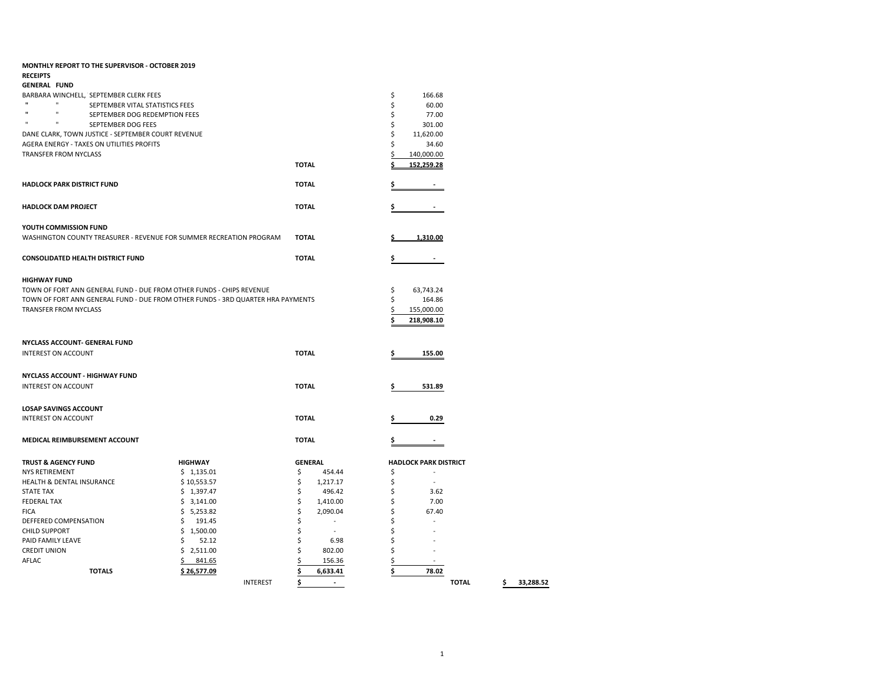| MONTHLY REPORT TO THE SUPERVISOR - OCTOBER 2019                                 |                               |                 |                |                          |    |                              |              |    |           |
|---------------------------------------------------------------------------------|-------------------------------|-----------------|----------------|--------------------------|----|------------------------------|--------------|----|-----------|
| <b>RECEIPTS</b>                                                                 |                               |                 |                |                          |    |                              |              |    |           |
| <b>GENERAL FUND</b>                                                             |                               |                 |                |                          |    |                              |              |    |           |
| BARBARA WINCHELL, SEPTEMBER CLERK FEES<br>$\mathbf{u}$<br>$\mathbf{H}$          |                               |                 |                |                          | \$ | 166.68                       |              |    |           |
| SEPTEMBER VITAL STATISTICS FEES<br>$\mathbf{u}$                                 |                               |                 |                |                          | \$ | 60.00                        |              |    |           |
| $\mathbf{u}$<br>$\mathbf{u}$<br>$\mathbf{u}$                                    | SEPTEMBER DOG REDEMPTION FEES |                 |                |                          | \$ | 77.00                        |              |    |           |
| SEPTEMBER DOG FEES                                                              |                               |                 |                |                          | \$ | 301.00                       |              |    |           |
| DANE CLARK, TOWN JUSTICE - SEPTEMBER COURT REVENUE                              |                               |                 |                |                          | \$ | 11,620.00                    |              |    |           |
| AGERA ENERGY - TAXES ON UTILITIES PROFITS                                       |                               |                 |                |                          | \$ | 34.60                        |              |    |           |
| <b>TRANSFER FROM NYCLASS</b>                                                    |                               |                 |                |                          | \$ | 140,000.00                   |              |    |           |
|                                                                                 |                               |                 | <b>TOTAL</b>   |                          |    | 152,259.28                   |              |    |           |
| <b>HADLOCK PARK DISTRICT FUND</b>                                               |                               |                 | <b>TOTAL</b>   |                          |    |                              |              |    |           |
| <b>HADLOCK DAM PROJECT</b>                                                      |                               |                 | <b>TOTAL</b>   |                          |    |                              |              |    |           |
| YOUTH COMMISSION FUND                                                           |                               |                 |                |                          |    |                              |              |    |           |
| WASHINGTON COUNTY TREASURER - REVENUE FOR SUMMER RECREATION PROGRAM             |                               |                 | <b>TOTAL</b>   |                          |    | 1,310.00                     |              |    |           |
| <b>CONSOLIDATED HEALTH DISTRICT FUND</b>                                        |                               |                 | <b>TOTAL</b>   |                          | \$ |                              |              |    |           |
| <b>HIGHWAY FUND</b>                                                             |                               |                 |                |                          |    |                              |              |    |           |
| TOWN OF FORT ANN GENERAL FUND - DUE FROM OTHER FUNDS - CHIPS REVENUE            |                               |                 |                |                          | \$ | 63,743.24                    |              |    |           |
| TOWN OF FORT ANN GENERAL FUND - DUE FROM OTHER FUNDS - 3RD QUARTER HRA PAYMENTS |                               |                 |                |                          | \$ | 164.86                       |              |    |           |
| TRANSFER FROM NYCLASS                                                           |                               |                 |                |                          | \$ | 155,000.00                   |              |    |           |
|                                                                                 |                               |                 |                |                          | Ś  | 218,908.10                   |              |    |           |
|                                                                                 |                               |                 |                |                          |    |                              |              |    |           |
|                                                                                 |                               |                 |                |                          |    |                              |              |    |           |
| NYCLASS ACCOUNT- GENERAL FUND                                                   |                               |                 |                |                          |    |                              |              |    |           |
| INTEREST ON ACCOUNT                                                             |                               |                 | <b>TOTAL</b>   |                          | \$ | 155.00                       |              |    |           |
| NYCLASS ACCOUNT - HIGHWAY FUND                                                  |                               |                 |                |                          |    |                              |              |    |           |
| <b>INTEREST ON ACCOUNT</b>                                                      |                               |                 | <b>TOTAL</b>   |                          | \$ | 531.89                       |              |    |           |
|                                                                                 |                               |                 |                |                          |    |                              |              |    |           |
| <b>LOSAP SAVINGS ACCOUNT</b>                                                    |                               |                 |                |                          |    |                              |              |    |           |
| <b>INTEREST ON ACCOUNT</b>                                                      |                               |                 | <b>TOTAL</b>   |                          | \$ | 0.29                         |              |    |           |
|                                                                                 |                               |                 |                |                          |    |                              |              |    |           |
| MEDICAL REIMBURSEMENT ACCOUNT                                                   |                               |                 | <b>TOTAL</b>   |                          |    |                              |              |    |           |
| <b>TRUST &amp; AGENCY FUND</b>                                                  | <b>HIGHWAY</b>                |                 | <b>GENERAL</b> |                          |    | <b>HADLOCK PARK DISTRICT</b> |              |    |           |
| <b>NYS RETIREMENT</b>                                                           | \$1,135.01                    |                 | \$             | 454.44                   | \$ | $\sim$                       |              |    |           |
| <b>HEALTH &amp; DENTAL INSURANCE</b>                                            | \$10,553.57                   |                 | \$             | 1,217.17                 | \$ | $\sim$                       |              |    |           |
| <b>STATE TAX</b>                                                                | \$1,397.47                    |                 | \$             | 496.42                   | \$ | 3.62                         |              |    |           |
| <b>FEDERAL TAX</b>                                                              | \$3,141.00                    |                 | \$             | 1,410.00                 | Ś  | 7.00                         |              |    |           |
| <b>FICA</b>                                                                     | \$5,253.82                    |                 | \$             | 2,090.04                 | \$ | 67.40                        |              |    |           |
| DEFFERED COMPENSATION                                                           | \$<br>191.45                  |                 | \$             | $\overline{\phantom{a}}$ | Ś  |                              |              |    |           |
| <b>CHILD SUPPORT</b>                                                            | \$1,500.00                    |                 | \$             | $\sim$                   | Ś  |                              |              |    |           |
| PAID FAMILY LEAVE                                                               | \$<br>52.12                   |                 | \$             | 6.98                     | \$ |                              |              |    |           |
| <b>CREDIT UNION</b>                                                             | \$2,511.00                    |                 |                | 802.00                   | \$ | L,                           |              |    |           |
| AFLAC                                                                           | 841.65<br>\$                  |                 |                | 156.36                   | \$ | $\sim$                       |              |    |           |
| <b>TOTALS</b>                                                                   | \$26,577.09                   |                 | Ś              | 6,633.41                 | Ś  | 78.02                        |              |    |           |
|                                                                                 |                               | <b>INTEREST</b> | \$             | $\sim$                   |    |                              | <b>TOTAL</b> | Ś. | 33,288.52 |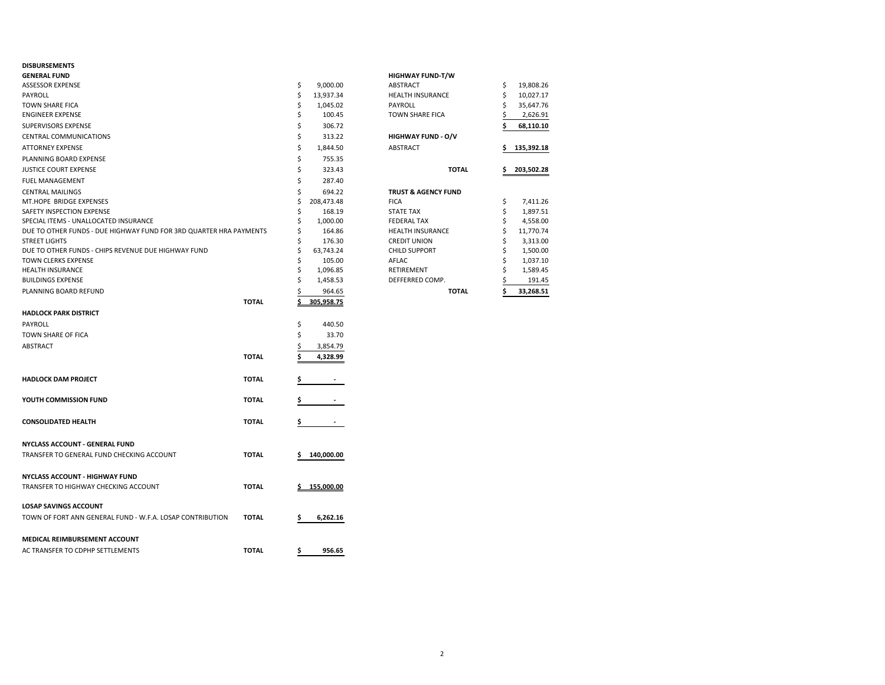### **DISBURSEMENTS**

| <b>PIJDURJENIENI</b>                                               |              |    |              |                                |    |            |
|--------------------------------------------------------------------|--------------|----|--------------|--------------------------------|----|------------|
| <b>GENERAL FUND</b>                                                |              |    |              | <b>HIGHWAY FUND-T/W</b>        |    |            |
| <b>ASSESSOR EXPENSE</b>                                            |              | \$ | 9,000.00     | ABSTRACT                       | \$ | 19,808.26  |
| PAYROLL                                                            |              | \$ | 13,937.34    | <b>HEALTH INSURANCE</b>        | Ś  | 10,027.17  |
| <b>TOWN SHARE FICA</b>                                             |              | Ś  | 1,045.02     | PAYROLL                        | Ś  | 35,647.76  |
| <b>ENGINEER EXPENSE</b>                                            |              | \$ | 100.45       | <b>TOWN SHARE FICA</b>         |    | 2,626.91   |
| SUPERVISORS EXPENSE                                                |              | \$ | 306.72       |                                |    | 68,110.10  |
| <b>CENTRAL COMMUNICATIONS</b>                                      |              | \$ | 313.22       | <b>HIGHWAY FUND - O/V</b>      |    |            |
| <b>ATTORNEY EXPENSE</b>                                            |              | \$ | 1,844.50     | ABSTRACT                       | s  | 135,392.18 |
| PLANNING BOARD EXPENSE                                             |              | \$ | 755.35       |                                |    |            |
| <b>JUSTICE COURT EXPENSE</b>                                       |              | \$ | 323.43       | <b>TOTAL</b>                   | \$ | 203,502.28 |
| <b>FUEL MANAGEMENT</b>                                             |              | \$ | 287.40       |                                |    |            |
| <b>CENTRAL MAILINGS</b>                                            |              | \$ | 694.22       | <b>TRUST &amp; AGENCY FUND</b> |    |            |
| MT.HOPE BRIDGE EXPENSES                                            |              | Ś  | 208,473.48   | <b>FICA</b>                    | \$ | 7,411.26   |
| SAFETY INSPECTION EXPENSE                                          |              | \$ | 168.19       | <b>STATE TAX</b>               | \$ | 1,897.51   |
| SPECIAL ITEMS - UNALLOCATED INSURANCE                              |              | Ś  | 1,000.00     | <b>FEDERAL TAX</b>             | \$ | 4,558.00   |
| DUE TO OTHER FUNDS - DUE HIGHWAY FUND FOR 3RD QUARTER HRA PAYMENTS |              | \$ | 164.86       | <b>HEALTH INSURANCE</b>        | \$ | 11,770.74  |
| <b>STREET LIGHTS</b>                                               |              | Ś  | 176.30       | <b>CREDIT UNION</b>            | \$ | 3,313.00   |
| DUE TO OTHER FUNDS - CHIPS REVENUE DUE HIGHWAY FUND                |              | \$ | 63,743.24    | <b>CHILD SUPPORT</b>           | \$ | 1,500.00   |
| <b>TOWN CLERKS EXPENSE</b>                                         |              | \$ | 105.00       | <b>AFLAC</b>                   | \$ | 1,037.10   |
| <b>HEALTH INSURANCE</b>                                            |              | \$ | 1,096.85     | RETIREMENT                     | Ś  | 1,589.45   |
| <b>BUILDINGS EXPENSE</b>                                           |              | \$ | 1,458.53     | DEFFERRED COMP.                |    | 191.45     |
| PLANNING BOARD REFUND                                              |              |    | 964.65       | <b>TOTAL</b>                   | \$ | 33,268.51  |
|                                                                    | <b>TOTAL</b> |    | 305,958.75   |                                |    |            |
| <b>HADLOCK PARK DISTRICT</b>                                       |              |    |              |                                |    |            |
| PAYROLL                                                            |              | \$ | 440.50       |                                |    |            |
| TOWN SHARE OF FICA                                                 |              | Ś  | 33.70        |                                |    |            |
| ABSTRACT                                                           |              |    | 3,854.79     |                                |    |            |
|                                                                    | <b>TOTAL</b> |    | 4,328.99     |                                |    |            |
| <b>HADLOCK DAM PROJECT</b>                                         | <b>TOTAL</b> |    |              |                                |    |            |
| YOUTH COMMISSION FUND                                              | <b>TOTAL</b> | \$ |              |                                |    |            |
| <b>CONSOLIDATED HEALTH</b>                                         | <b>TOTAL</b> | \$ |              |                                |    |            |
| <b>NYCLASS ACCOUNT - GENERAL FUND</b>                              |              |    |              |                                |    |            |
| TRANSFER TO GENERAL FUND CHECKING ACCOUNT                          | <b>TOTAL</b> |    | 140,000.00   |                                |    |            |
| NYCLASS ACCOUNT - HIGHWAY FUND                                     |              |    |              |                                |    |            |
| TRANSFER TO HIGHWAY CHECKING ACCOUNT                               | <b>TOTAL</b> |    | \$155,000.00 |                                |    |            |
| <b>LOSAP SAVINGS ACCOUNT</b>                                       |              |    |              |                                |    |            |
| TOWN OF FORT ANN GENERAL FUND - W.F.A. LOSAP CONTRIBUTION          | <b>TOTAL</b> | \$ | 6,262.16     |                                |    |            |
| <b>MEDICAL REIMBURSEMENT ACCOUNT</b>                               |              |    |              |                                |    |            |
| AC TRANSFER TO CDPHP SETTLEMENTS                                   | <b>TOTAL</b> | \$ | 956.65       |                                |    |            |